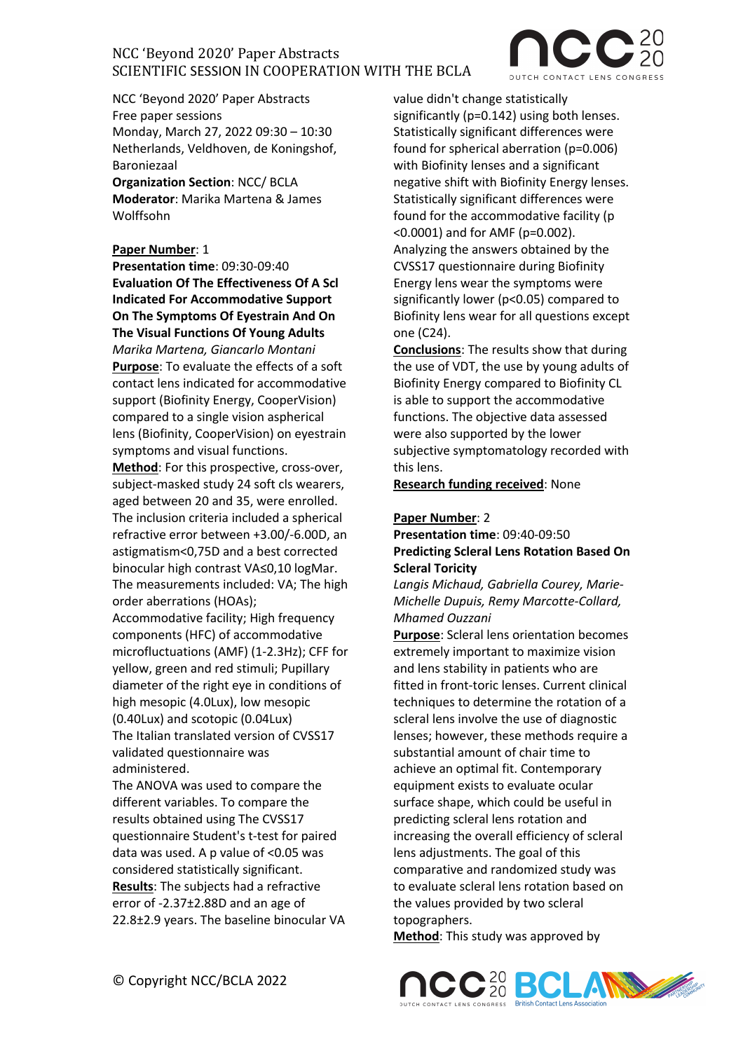

NCC 'Beyond 2020' Paper Abstracts Free paper sessions Monday, March 27, 2022 09:30 – 10:30 Netherlands, Veldhoven, de Koningshof, Baroniezaal

**Organization Section**: NCC/ BCLA **Moderator**: Marika Martena & James Wolffsohn

### **Paper Number**: 1

**Presentation time**: 09:30-09:40 **Evaluation Of The Effectiveness Of A Scl Indicated For Accommodative Support On The Symptoms Of Eyestrain And On The Visual Functions Of Young Adults** *Marika Martena, Giancarlo Montani* **Purpose**: To evaluate the effects of a soft contact lens indicated for accommodative support (Biofinity Energy, CooperVision) compared to a single vision aspherical lens (Biofinity, CooperVision) on eyestrain symptoms and visual functions.

**Method**: For this prospective, cross-over, subject-masked study 24 soft cls wearers, aged between 20 and 35, were enrolled. The inclusion criteria included a spherical refractive error between +3.00/-6.00D, an astigmatism<0,75D and a best corrected binocular high contrast VA≤0,10 logMar. The measurements included: VA; The high order aberrations (HOAs);

Accommodative facility; High frequency components (HFC) of accommodative microfluctuations (AMF) (1-2.3Hz); CFF for yellow, green and red stimuli; Pupillary diameter of the right eye in conditions of high mesopic (4.0Lux), low mesopic (0.40Lux) and scotopic (0.04Lux) The Italian translated version of CVSS17 validated questionnaire was administered.

The ANOVA was used to compare the different variables. To compare the results obtained using The CVSS17 questionnaire Student's t-test for paired data was used. A p value of <0.05 was considered statistically significant. **Results**: The subjects had a refractive error of -2.37±2.88D and an age of 22.8±2.9 years. The baseline binocular VA value didn't change statistically significantly (p=0.142) using both lenses. Statistically significant differences were found for spherical aberration (p=0.006) with Biofinity lenses and a significant negative shift with Biofinity Energy lenses. Statistically significant differences were found for the accommodative facility (p <0.0001) and for AMF (p=0.002). Analyzing the answers obtained by the CVSS17 questionnaire during Biofinity Energy lens wear the symptoms were significantly lower (p<0.05) compared to Biofinity lens wear for all questions except one (C24).

**Conclusions**: The results show that during the use of VDT, the use by young adults of Biofinity Energy compared to Biofinity CL is able to support the accommodative functions. The objective data assessed were also supported by the lower subjective symptomatology recorded with this lens.

**Research funding received**: None

## **Paper Number**: 2

### **Presentation time**: 09:40-09:50 **Predicting Scleral Lens Rotation Based On Scleral Toricity**

*Langis Michaud, Gabriella Courey, Marie-Michelle Dupuis, Remy Marcotte-Collard, Mhamed Ouzzani*

**Purpose**: Scleral lens orientation becomes extremely important to maximize vision and lens stability in patients who are fitted in front-toric lenses. Current clinical techniques to determine the rotation of a scleral lens involve the use of diagnostic lenses; however, these methods require a substantial amount of chair time to achieve an optimal fit. Contemporary equipment exists to evaluate ocular surface shape, which could be useful in predicting scleral lens rotation and increasing the overall efficiency of scleral lens adjustments. The goal of this comparative and randomized study was to evaluate scleral lens rotation based on the values provided by two scleral topographers.

**Method**: This study was approved by

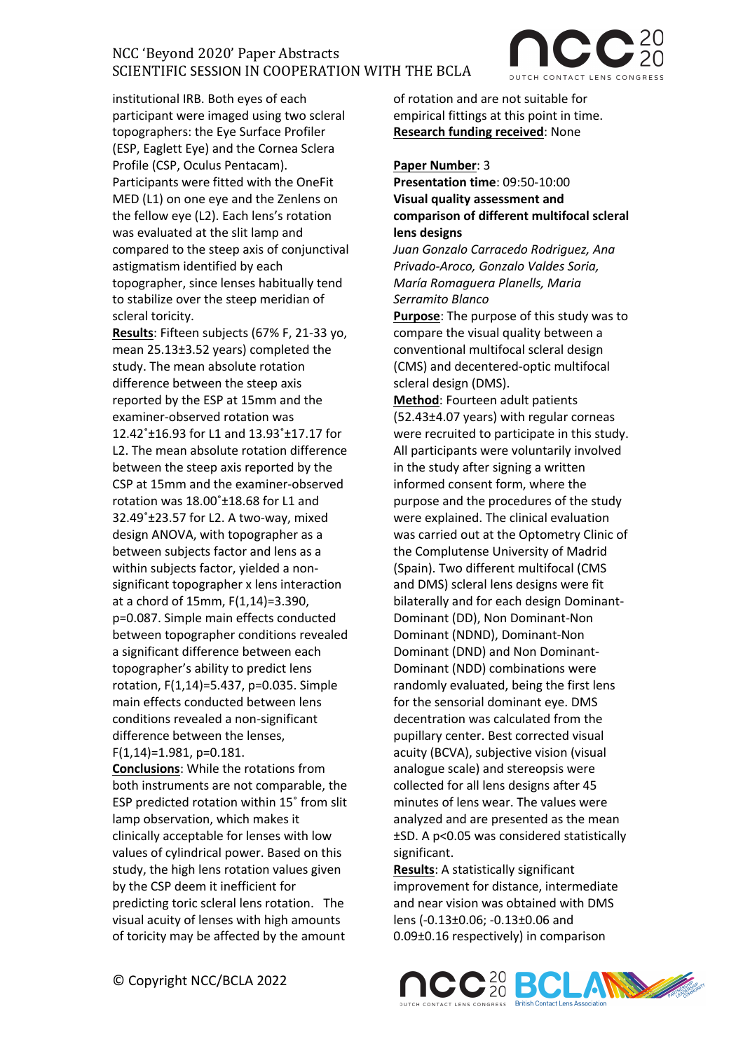

institutional IRB. Both eyes of each participant were imaged using two scleral topographers: the Eye Surface Profiler (ESP, Eaglett Eye) and the Cornea Sclera Profile (CSP, Oculus Pentacam). Participants were fitted with the OneFit MED (L1) on one eye and the Zenlens on the fellow eye (L2). Each lens's rotation was evaluated at the slit lamp and compared to the steep axis of conjunctival astigmatism identified by each topographer, since lenses habitually tend to stabilize over the steep meridian of scleral toricity.

**Results**: Fifteen subjects (67% F, 21-33 yo, mean 25.13±3.52 years) completed the study. The mean absolute rotation difference between the steep axis reported by the ESP at 15mm and the examiner-observed rotation was 12.42˚±16.93 for L1 and 13.93˚±17.17 for L2. The mean absolute rotation difference between the steep axis reported by the CSP at 15mm and the examiner-observed rotation was 18.00˚±18.68 for L1 and 32.49˚±23.57 for L2. A two-way, mixed design ANOVA, with topographer as a between subjects factor and lens as a within subjects factor, yielded a nonsignificant topographer x lens interaction at a chord of 15mm, F(1,14)=3.390, p=0.087. Simple main effects conducted between topographer conditions revealed a significant difference between each topographer's ability to predict lens rotation, F(1,14)=5.437, p=0.035. Simple main effects conducted between lens conditions revealed a non-significant difference between the lenses, F(1,14)=1.981, p=0.181.

**Conclusions**: While the rotations from both instruments are not comparable, the ESP predicted rotation within 15˚ from slit lamp observation, which makes it clinically acceptable for lenses with low values of cylindrical power. Based on this study, the high lens rotation values given by the CSP deem it inefficient for predicting toric scleral lens rotation. The visual acuity of lenses with high amounts of toricity may be affected by the amount

of rotation and are not suitable for empirical fittings at this point in time. **Research funding received**: None

#### **Paper Number**: 3

**Presentation time**: 09:50-10:00 **Visual quality assessment and comparison of different multifocal scleral lens designs**

*Juan Gonzalo Carracedo Rodriguez, Ana Privado-Aroco, Gonzalo Valdes Soria, María Romaguera Planells, Maria Serramito Blanco*

**Purpose**: The purpose of this study was to compare the visual quality between a conventional multifocal scleral design (CMS) and decentered-optic multifocal scleral design (DMS).

**Method**: Fourteen adult patients (52.43±4.07 years) with regular corneas were recruited to participate in this study. All participants were voluntarily involved in the study after signing a written informed consent form, where the purpose and the procedures of the study were explained. The clinical evaluation was carried out at the Optometry Clinic of the Complutense University of Madrid (Spain). Two different multifocal (CMS and DMS) scleral lens designs were fit bilaterally and for each design Dominant-Dominant (DD), Non Dominant-Non Dominant (NDND), Dominant-Non Dominant (DND) and Non Dominant-Dominant (NDD) combinations were randomly evaluated, being the first lens for the sensorial dominant eye. DMS decentration was calculated from the pupillary center. Best corrected visual acuity (BCVA), subjective vision (visual analogue scale) and stereopsis were collected for all lens designs after 45 minutes of lens wear. The values were analyzed and are presented as the mean ±SD. A p<0.05 was considered statistically significant.

**Results**: A statistically significant improvement for distance, intermediate and near vision was obtained with DMS lens (-0.13±0.06; -0.13±0.06 and 0.09±0.16 respectively) in comparison

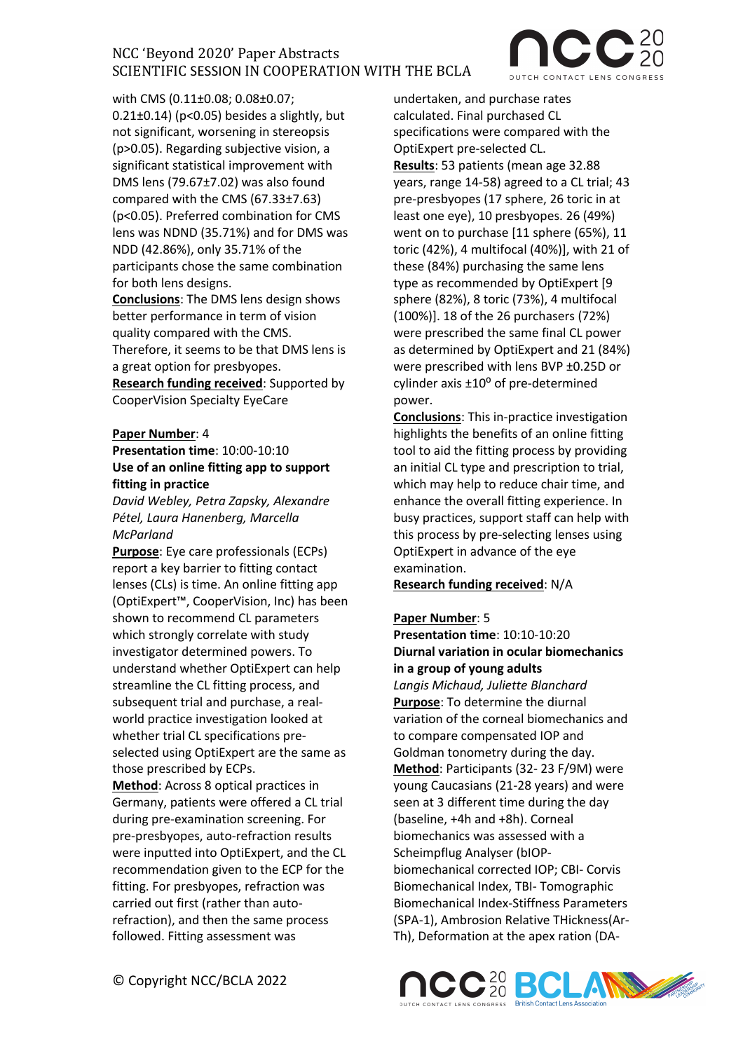with CMS (0.11±0.08; 0.08±0.07;  $0.21\pm0.14$ ) (p<0.05) besides a slightly, but not significant, worsening in stereopsis (p>0.05). Regarding subjective vision, a significant statistical improvement with DMS lens (79.67±7.02) was also found compared with the CMS (67.33±7.63) (p<0.05). Preferred combination for CMS lens was NDND (35.71%) and for DMS was NDD (42.86%), only 35.71% of the participants chose the same combination for both lens designs.

**Conclusions**: The DMS lens design shows better performance in term of vision quality compared with the CMS. Therefore, it seems to be that DMS lens is

a great option for presbyopes. **Research funding received**: Supported by

CooperVision Specialty EyeCare

### **Paper Number**: 4

**Presentation time**: 10:00-10:10 **Use of an online fitting app to support fitting in practice** 

*David Webley, Petra Zapsky, Alexandre Pétel, Laura Hanenberg, Marcella McParland*

**Purpose**: Eye care professionals (ECPs) report a key barrier to fitting contact lenses (CLs) is time. An online fitting app (OptiExpert™, CooperVision, Inc) has been shown to recommend CL parameters which strongly correlate with study investigator determined powers. To understand whether OptiExpert can help streamline the CL fitting process, and subsequent trial and purchase, a realworld practice investigation looked at whether trial CL specifications preselected using OptiExpert are the same as those prescribed by ECPs.

**Method**: Across 8 optical practices in Germany, patients were offered a CL trial during pre-examination screening. For pre-presbyopes, auto-refraction results were inputted into OptiExpert, and the CL recommendation given to the ECP for the fitting. For presbyopes, refraction was carried out first (rather than autorefraction), and then the same process followed. Fitting assessment was

© Copyright NCC/BCLA 2022

undertaken, and purchase rates calculated. Final purchased CL specifications were compared with the OptiExpert pre-selected CL. **Results**: 53 patients (mean age 32.88 years, range 14-58) agreed to a CL trial; 43 pre-presbyopes (17 sphere, 26 toric in at least one eye), 10 presbyopes. 26 (49%) went on to purchase [11 sphere (65%), 11 toric (42%), 4 multifocal (40%)], with 21 of these (84%) purchasing the same lens type as recommended by OptiExpert [9 sphere (82%), 8 toric (73%), 4 multifocal (100%)]. 18 of the 26 purchasers (72%) were prescribed the same final CL power as determined by OptiExpert and 21 (84%) were prescribed with lens BVP ±0.25D or cylinder axis  $\pm 10^{\circ}$  of pre-determined power.

**Conclusions**: This in-practice investigation highlights the benefits of an online fitting tool to aid the fitting process by providing an initial CL type and prescription to trial, which may help to reduce chair time, and enhance the overall fitting experience. In busy practices, support staff can help with this process by pre-selecting lenses using OptiExpert in advance of the eye examination.

**Research funding received**: N/A

#### **Paper Number**: 5

**Presentation time**: 10:10-10:20 **Diurnal variation in ocular biomechanics in a group of young adults** *Langis Michaud, Juliette Blanchard* **Purpose**: To determine the diurnal variation of the corneal biomechanics and to compare compensated IOP and Goldman tonometry during the day. **Method**: Participants (32- 23 F/9M) were young Caucasians (21-28 years) and were seen at 3 different time during the day (baseline, +4h and +8h). Corneal biomechanics was assessed with a Scheimpflug Analyser (bIOPbiomechanical corrected IOP; CBI- Corvis Biomechanical Index, TBI- Tomographic Biomechanical Index-Stiffness Parameters (SPA-1), Ambrosion Relative THickness(Ar-Th), Deformation at the apex ration (DA-